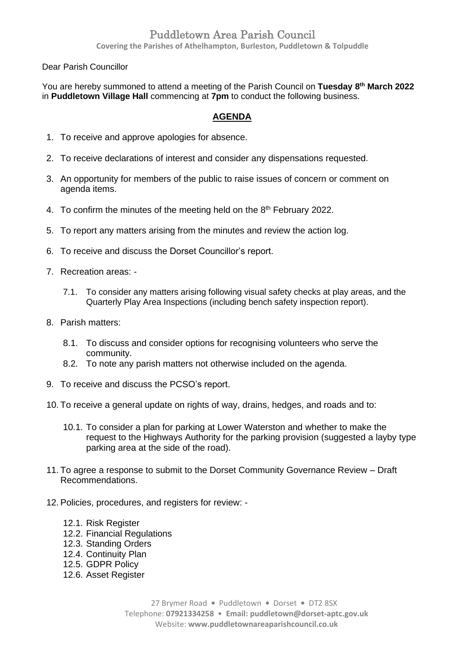## Puddletown Area Parish Council

**Covering the Parishes of Athelhampton, Burleston, Puddletown & Tolpuddle**

Dear Parish Councillor

You are hereby summoned to attend a meeting of the Parish Council on **Tuesday 8 th March 2022** in **Puddletown Village Hall** commencing at **7pm** to conduct the following business.

## **AGENDA**

- 1. To receive and approve apologies for absence.
- 2. To receive declarations of interest and consider any dispensations requested.
- 3. An opportunity for members of the public to raise issues of concern or comment on agenda items.
- 4. To confirm the minutes of the meeting held on the  $8<sup>th</sup>$  February 2022.
- 5. To report any matters arising from the minutes and review the action log.
- 6. To receive and discuss the Dorset Councillor's report.
- 7. Recreation areas:
	- 7.1. To consider any matters arising following visual safety checks at play areas, and the Quarterly Play Area Inspections (including bench safety inspection report).
- 8. Parish matters:
	- 8.1. To discuss and consider options for recognising volunteers who serve the community.
	- 8.2. To note any parish matters not otherwise included on the agenda.
- 9. To receive and discuss the PCSO's report.
- 10. To receive a general update on rights of way, drains, hedges, and roads and to:
	- 10.1. To consider a plan for parking at Lower Waterston and whether to make the request to the Highways Authority for the parking provision (suggested a layby type parking area at the side of the road).
- 11. To agree a response to submit to the Dorset Community Governance Review Draft Recommendations.
- 12. Policies, procedures, and registers for review:
	- 12.1. Risk Register
	- 12.2. Financial Regulations
	- 12.3. Standing Orders
	- 12.4. Continuity Plan
	- 12.5. GDPR Policy
	- 12.6. Asset Register